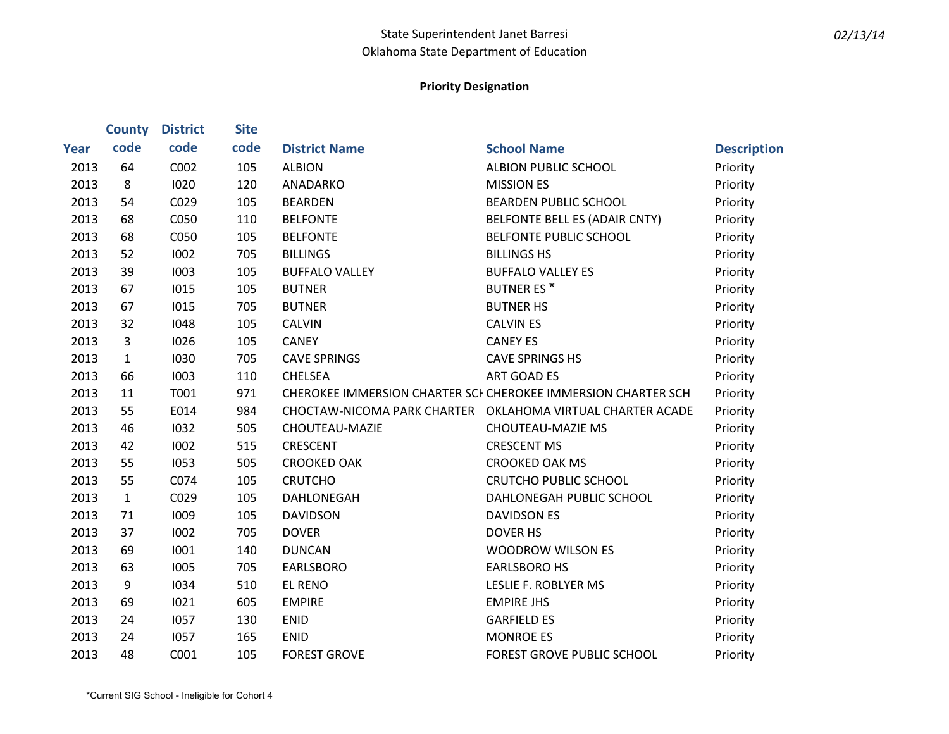|      | <b>County</b>  | <b>District</b> | <b>Site</b> |                       |                                                               |                    |
|------|----------------|-----------------|-------------|-----------------------|---------------------------------------------------------------|--------------------|
| Year | code           | code            | code        | <b>District Name</b>  | <b>School Name</b>                                            | <b>Description</b> |
| 2013 | 64             | C002            | 105         | <b>ALBION</b>         | ALBION PUBLIC SCHOOL                                          | Priority           |
| 2013 | 8              | 1020            | 120         | ANADARKO              | <b>MISSION ES</b>                                             | Priority           |
| 2013 | 54             | C029            | 105         | <b>BEARDEN</b>        | <b>BEARDEN PUBLIC SCHOOL</b>                                  | Priority           |
| 2013 | 68             | C050            | 110         | <b>BELFONTE</b>       | BELFONTE BELL ES (ADAIR CNTY)                                 | Priority           |
| 2013 | 68             | C050            | 105         | <b>BELFONTE</b>       | BELFONTE PUBLIC SCHOOL                                        | Priority           |
| 2013 | 52             | 1002            | 705         | <b>BILLINGS</b>       | <b>BILLINGS HS</b>                                            | Priority           |
| 2013 | 39             | 1003            | 105         | <b>BUFFALO VALLEY</b> | <b>BUFFALO VALLEY ES</b>                                      | Priority           |
| 2013 | 67             | 1015            | 105         | <b>BUTNER</b>         | <b>BUTNER ES*</b>                                             | Priority           |
| 2013 | 67             | 1015            | 705         | <b>BUTNER</b>         | <b>BUTNER HS</b>                                              | Priority           |
| 2013 | 32             | 1048            | 105         | <b>CALVIN</b>         | <b>CALVIN ES</b>                                              | Priority           |
| 2013 | $\overline{3}$ | 1026            | 105         | <b>CANEY</b>          | <b>CANEY ES</b>                                               | Priority           |
| 2013 | $\mathbf{1}$   | 1030            | 705         | <b>CAVE SPRINGS</b>   | <b>CAVE SPRINGS HS</b>                                        | Priority           |
| 2013 | 66             | 1003            | 110         | <b>CHELSEA</b>        | <b>ART GOAD ES</b>                                            | Priority           |
| 2013 | 11             | T001            | 971         |                       | CHEROKEE IMMERSION CHARTER SCI CHEROKEE IMMERSION CHARTER SCH | Priority           |
| 2013 | 55             | E014            | 984         |                       | CHOCTAW-NICOMA PARK CHARTER  OKLAHOMA VIRTUAL CHARTER ACADE   | Priority           |
| 2013 | 46             | 1032            | 505         | CHOUTEAU-MAZIE        | <b>CHOUTEAU-MAZIE MS</b>                                      | Priority           |
| 2013 | 42             | 1002            | 515         | <b>CRESCENT</b>       | <b>CRESCENT MS</b>                                            | Priority           |
| 2013 | 55             | 1053            | 505         | <b>CROOKED OAK</b>    | <b>CROOKED OAK MS</b>                                         | Priority           |
| 2013 | 55             | C074            | 105         | <b>CRUTCHO</b>        | <b>CRUTCHO PUBLIC SCHOOL</b>                                  | Priority           |
| 2013 | $\mathbf{1}$   | C029            | 105         | DAHLONEGAH            | DAHLONEGAH PUBLIC SCHOOL                                      | Priority           |
| 2013 | 71             | 1009            | 105         | <b>DAVIDSON</b>       | <b>DAVIDSON ES</b>                                            | Priority           |
| 2013 | 37             | 1002            | 705         | <b>DOVER</b>          | <b>DOVER HS</b>                                               | Priority           |
| 2013 | 69             | 1001            | 140         | <b>DUNCAN</b>         | <b>WOODROW WILSON ES</b>                                      | Priority           |
| 2013 | 63             | 1005            | 705         | <b>EARLSBORO</b>      | <b>EARLSBORO HS</b>                                           | Priority           |
| 2013 | 9              | 1034            | 510         | <b>EL RENO</b>        | <b>LESLIE F. ROBLYER MS</b>                                   | Priority           |
| 2013 | 69             | 1021            | 605         | <b>EMPIRE</b>         | <b>EMPIRE JHS</b>                                             | Priority           |
| 2013 | 24             | 1057            | 130         | <b>ENID</b>           | <b>GARFIELD ES</b>                                            | Priority           |
| 2013 | 24             | 1057            | 165         | <b>ENID</b>           | <b>MONROE ES</b>                                              | Priority           |
| 2013 | 48             | C001            | 105         | <b>FOREST GROVE</b>   | <b>FOREST GROVE PUBLIC SCHOOL</b>                             | Priority           |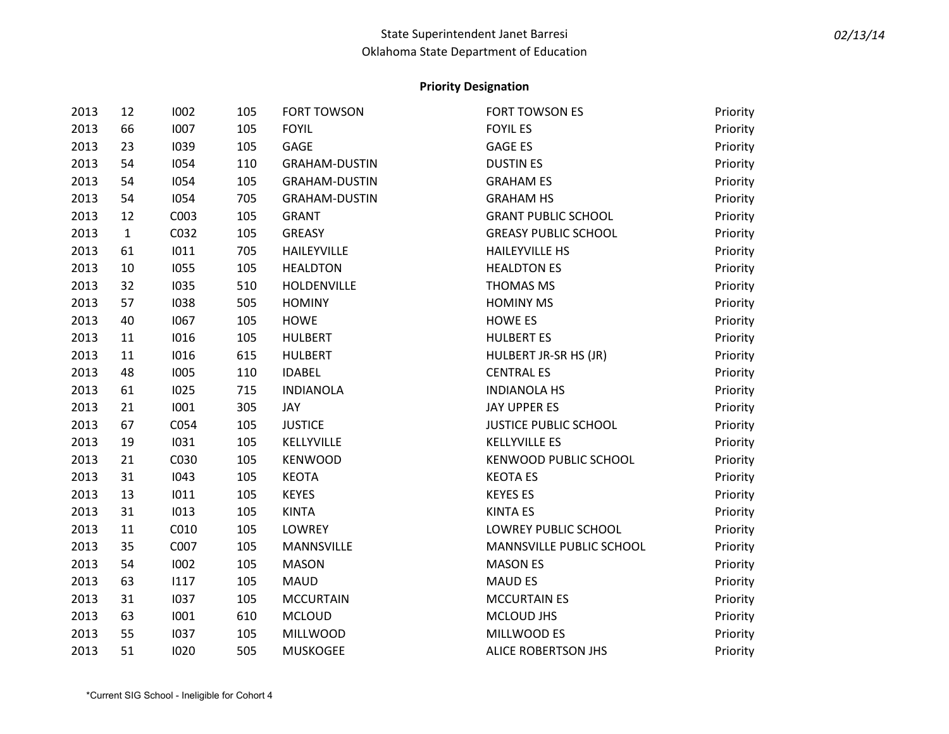| 2013 | 12           | 1002 | 105 | <b>FORT TOWSON</b>   | <b>FORT TOWSON ES</b>        | Priority |
|------|--------------|------|-----|----------------------|------------------------------|----------|
| 2013 | 66           | 1007 | 105 | <b>FOYIL</b>         | <b>FOYIL ES</b>              | Priority |
| 2013 | 23           | 1039 | 105 | GAGE                 | <b>GAGE ES</b>               | Priority |
| 2013 | 54           | 1054 | 110 | <b>GRAHAM-DUSTIN</b> | <b>DUSTIN ES</b>             | Priority |
| 2013 | 54           | 1054 | 105 | <b>GRAHAM-DUSTIN</b> | <b>GRAHAM ES</b>             | Priority |
| 2013 | 54           | 1054 | 705 | <b>GRAHAM-DUSTIN</b> | <b>GRAHAM HS</b>             | Priority |
| 2013 | 12           | C003 | 105 | <b>GRANT</b>         | <b>GRANT PUBLIC SCHOOL</b>   | Priority |
| 2013 | $\mathbf{1}$ | C032 | 105 | <b>GREASY</b>        | <b>GREASY PUBLIC SCHOOL</b>  | Priority |
| 2013 | 61           | 1011 | 705 | HAILEYVILLE          | <b>HAILEYVILLE HS</b>        | Priority |
| 2013 | 10           | 1055 | 105 | <b>HEALDTON</b>      | <b>HEALDTON ES</b>           | Priority |
| 2013 | 32           | 1035 | 510 | HOLDENVILLE          | <b>THOMAS MS</b>             | Priority |
| 2013 | 57           | 1038 | 505 | <b>HOMINY</b>        | <b>HOMINY MS</b>             | Priority |
| 2013 | 40           | 1067 | 105 | <b>HOWE</b>          | <b>HOWE ES</b>               | Priority |
| 2013 | 11           | 1016 | 105 | <b>HULBERT</b>       | <b>HULBERT ES</b>            | Priority |
| 2013 | 11           | 1016 | 615 | <b>HULBERT</b>       | HULBERT JR-SR HS (JR)        | Priority |
| 2013 | 48           | 1005 | 110 | <b>IDABEL</b>        | <b>CENTRAL ES</b>            | Priority |
| 2013 | 61           | 1025 | 715 | <b>INDIANOLA</b>     | <b>INDIANOLA HS</b>          | Priority |
| 2013 | 21           | 1001 | 305 | JAY                  | JAY UPPER ES                 | Priority |
| 2013 | 67           | C054 | 105 | <b>JUSTICE</b>       | <b>JUSTICE PUBLIC SCHOOL</b> | Priority |
| 2013 | 19           | 1031 | 105 | KELLYVILLE           | <b>KELLYVILLE ES</b>         | Priority |
| 2013 | 21           | C030 | 105 | <b>KENWOOD</b>       | <b>KENWOOD PUBLIC SCHOOL</b> | Priority |
| 2013 | 31           | 1043 | 105 | <b>KEOTA</b>         | <b>KEOTA ES</b>              | Priority |
| 2013 | 13           | 1011 | 105 | <b>KEYES</b>         | <b>KEYES ES</b>              | Priority |
| 2013 | 31           | 1013 | 105 | <b>KINTA</b>         | <b>KINTA ES</b>              | Priority |
| 2013 | 11           | C010 | 105 | <b>LOWREY</b>        | LOWREY PUBLIC SCHOOL         | Priority |
| 2013 | 35           | C007 | 105 | <b>MANNSVILLE</b>    | MANNSVILLE PUBLIC SCHOOL     | Priority |
| 2013 | 54           | 1002 | 105 | <b>MASON</b>         | <b>MASON ES</b>              | Priority |
| 2013 | 63           | 1117 | 105 | <b>MAUD</b>          | <b>MAUD ES</b>               | Priority |
| 2013 | 31           | 1037 | 105 | <b>MCCURTAIN</b>     | <b>MCCURTAIN ES</b>          | Priority |
| 2013 | 63           | 1001 | 610 | <b>MCLOUD</b>        | MCLOUD JHS                   | Priority |
| 2013 | 55           | 1037 | 105 | <b>MILLWOOD</b>      | MILLWOOD ES                  | Priority |
| 2013 | 51           | 1020 | 505 | <b>MUSKOGEE</b>      | ALICE ROBERTSON JHS          | Priority |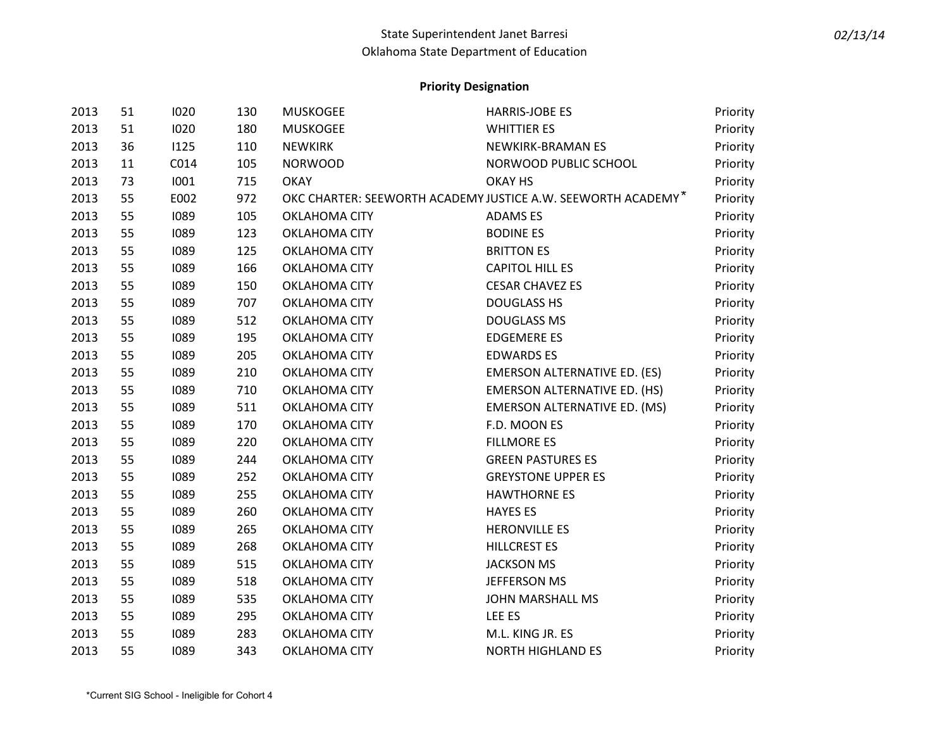| 2013 | 51 | 1020 | 130 | <b>MUSKOGEE</b>      | <b>HARRIS-JOBE ES</b>                                        | Priority |
|------|----|------|-----|----------------------|--------------------------------------------------------------|----------|
| 2013 | 51 | 1020 | 180 | <b>MUSKOGEE</b>      | <b>WHITTIER ES</b>                                           | Priority |
| 2013 | 36 | 1125 | 110 | <b>NEWKIRK</b>       | NEWKIRK-BRAMAN ES                                            | Priority |
| 2013 | 11 | C014 | 105 | <b>NORWOOD</b>       | NORWOOD PUBLIC SCHOOL                                        | Priority |
| 2013 | 73 | 1001 | 715 | <b>OKAY</b>          | OKAY HS                                                      | Priority |
| 2013 | 55 | E002 | 972 |                      | OKC CHARTER: SEEWORTH ACADEMY JUSTICE A.W. SEEWORTH ACADEMY* | Priority |
| 2013 | 55 | 1089 | 105 | OKLAHOMA CITY        | <b>ADAMSES</b>                                               | Priority |
| 2013 | 55 | 1089 | 123 | OKLAHOMA CITY        | <b>BODINE ES</b>                                             | Priority |
| 2013 | 55 | 1089 | 125 | OKLAHOMA CITY        | <b>BRITTON ES</b>                                            | Priority |
| 2013 | 55 | 1089 | 166 | <b>OKLAHOMA CITY</b> | <b>CAPITOL HILL ES</b>                                       | Priority |
| 2013 | 55 | 1089 | 150 | OKLAHOMA CITY        | <b>CESAR CHAVEZ ES</b>                                       | Priority |
| 2013 | 55 | 1089 | 707 | OKLAHOMA CITY        | <b>DOUGLASS HS</b>                                           | Priority |
| 2013 | 55 | 1089 | 512 | <b>OKLAHOMA CITY</b> | <b>DOUGLASS MS</b>                                           | Priority |
| 2013 | 55 | 1089 | 195 | OKLAHOMA CITY        | <b>EDGEMERE ES</b>                                           | Priority |
| 2013 | 55 | 1089 | 205 | OKLAHOMA CITY        | <b>EDWARDS ES</b>                                            | Priority |
| 2013 | 55 | 1089 | 210 | <b>OKLAHOMA CITY</b> | <b>EMERSON ALTERNATIVE ED. (ES)</b>                          | Priority |
| 2013 | 55 | 1089 | 710 | OKLAHOMA CITY        | <b>EMERSON ALTERNATIVE ED. (HS)</b>                          | Priority |
| 2013 | 55 | 1089 | 511 | OKLAHOMA CITY        | <b>EMERSON ALTERNATIVE ED. (MS)</b>                          | Priority |
| 2013 | 55 | 1089 | 170 | OKLAHOMA CITY        | F.D. MOON ES                                                 | Priority |
| 2013 | 55 | 1089 | 220 | OKLAHOMA CITY        | <b>FILLMORE ES</b>                                           | Priority |
| 2013 | 55 | 1089 | 244 | OKLAHOMA CITY        | <b>GREEN PASTURES ES</b>                                     | Priority |
| 2013 | 55 | 1089 | 252 | <b>OKLAHOMA CITY</b> | <b>GREYSTONE UPPER ES</b>                                    | Priority |
| 2013 | 55 | 1089 | 255 | OKLAHOMA CITY        | <b>HAWTHORNE ES</b>                                          | Priority |
| 2013 | 55 | 1089 | 260 | <b>OKLAHOMA CITY</b> | <b>HAYES ES</b>                                              | Priority |
| 2013 | 55 | 1089 | 265 | OKLAHOMA CITY        | <b>HERONVILLE ES</b>                                         | Priority |
| 2013 | 55 | 1089 | 268 | OKLAHOMA CITY        | <b>HILLCREST ES</b>                                          | Priority |
| 2013 | 55 | 1089 | 515 | <b>OKLAHOMA CITY</b> | <b>JACKSON MS</b>                                            | Priority |
| 2013 | 55 | 1089 | 518 | OKLAHOMA CITY        | JEFFERSON MS                                                 | Priority |
| 2013 | 55 | 1089 | 535 | OKLAHOMA CITY        | JOHN MARSHALL MS                                             | Priority |
| 2013 | 55 | 1089 | 295 | OKLAHOMA CITY        | LEE ES                                                       | Priority |
| 2013 | 55 | 1089 | 283 | OKLAHOMA CITY        | M.L. KING JR. ES                                             | Priority |
| 2013 | 55 | 1089 | 343 | <b>OKLAHOMA CITY</b> | <b>NORTH HIGHLAND ES</b>                                     | Priority |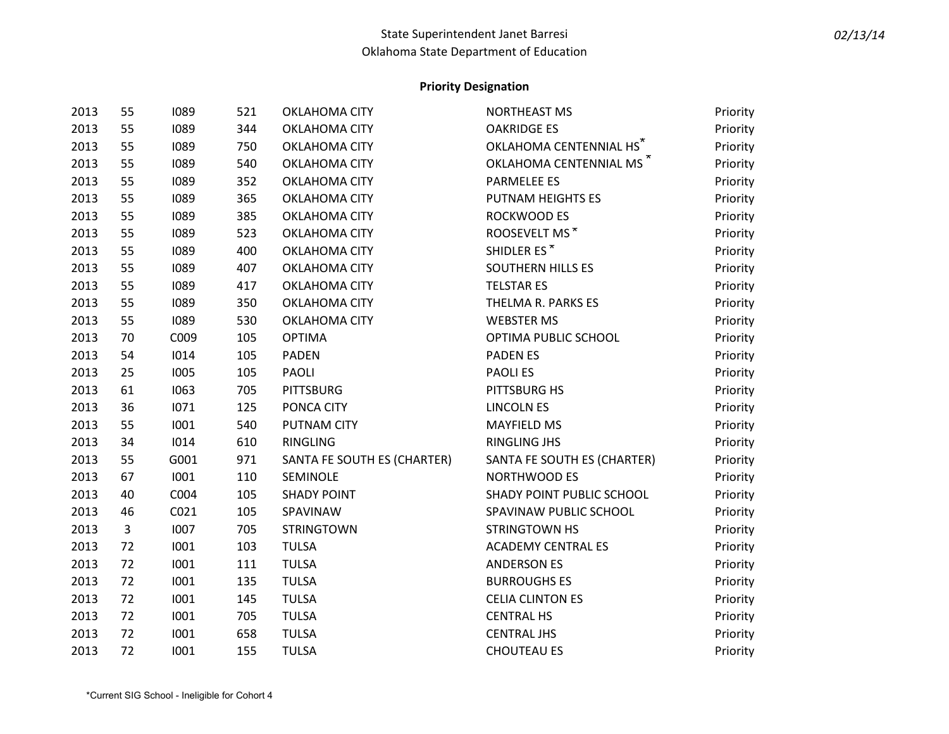| 2013 | 55           | 1089 | 521 | <b>OKLAHOMA CITY</b>        | <b>NORTHEAST MS</b>                 | Priority |
|------|--------------|------|-----|-----------------------------|-------------------------------------|----------|
| 2013 | 55           | 1089 | 344 | OKLAHOMA CITY               | <b>OAKRIDGE ES</b>                  | Priority |
| 2013 | 55           | 1089 | 750 | OKLAHOMA CITY               | OKLAHOMA CENTENNIAL HS*             | Priority |
| 2013 | 55           | 1089 | 540 | OKLAHOMA CITY               | OKLAHOMA CENTENNIAL MS <sup>*</sup> | Priority |
| 2013 | 55           | 1089 | 352 | <b>OKLAHOMA CITY</b>        | PARMELEE ES                         | Priority |
| 2013 | 55           | 1089 | 365 | OKLAHOMA CITY               | PUTNAM HEIGHTS ES                   | Priority |
| 2013 | 55           | 1089 | 385 | OKLAHOMA CITY               | ROCKWOOD ES                         | Priority |
| 2013 | 55           | 1089 | 523 | OKLAHOMA CITY               | ROOSEVELT MS*                       | Priority |
| 2013 | 55           | 1089 | 400 | OKLAHOMA CITY               | SHIDLER ES*                         | Priority |
| 2013 | 55           | 1089 | 407 | OKLAHOMA CITY               | <b>SOUTHERN HILLS ES</b>            | Priority |
| 2013 | 55           | 1089 | 417 | OKLAHOMA CITY               | <b>TELSTAR ES</b>                   | Priority |
| 2013 | 55           | 1089 | 350 | OKLAHOMA CITY               | THELMA R. PARKS ES                  | Priority |
| 2013 | 55           | 1089 | 530 | <b>OKLAHOMA CITY</b>        | <b>WEBSTER MS</b>                   | Priority |
| 2013 | 70           | C009 | 105 | <b>OPTIMA</b>               | OPTIMA PUBLIC SCHOOL                | Priority |
| 2013 | 54           | 1014 | 105 | <b>PADEN</b>                | <b>PADENES</b>                      | Priority |
| 2013 | 25           | 1005 | 105 | PAOLI                       | <b>PAOLIES</b>                      | Priority |
| 2013 | 61           | 1063 | 705 | <b>PITTSBURG</b>            | PITTSBURG HS                        | Priority |
| 2013 | 36           | 1071 | 125 | PONCA CITY                  | <b>LINCOLN ES</b>                   | Priority |
| 2013 | 55           | 1001 | 540 | PUTNAM CITY                 | <b>MAYFIELD MS</b>                  | Priority |
| 2013 | 34           | 1014 | 610 | RINGLING                    | <b>RINGLING JHS</b>                 | Priority |
| 2013 | 55           | G001 | 971 | SANTA FE SOUTH ES (CHARTER) | SANTA FE SOUTH ES (CHARTER)         | Priority |
| 2013 | 67           | 1001 | 110 | SEMINOLE                    | <b>NORTHWOOD ES</b>                 | Priority |
| 2013 | 40           | C004 | 105 | <b>SHADY POINT</b>          | SHADY POINT PUBLIC SCHOOL           | Priority |
| 2013 | 46           | C021 | 105 | SPAVINAW                    | SPAVINAW PUBLIC SCHOOL              | Priority |
| 2013 | $\mathbf{3}$ | 1007 | 705 | <b>STRINGTOWN</b>           | <b>STRINGTOWN HS</b>                | Priority |
| 2013 | 72           | 1001 | 103 | <b>TULSA</b>                | <b>ACADEMY CENTRAL ES</b>           | Priority |
| 2013 | 72           | 1001 | 111 | <b>TULSA</b>                | <b>ANDERSON ES</b>                  | Priority |
| 2013 | 72           | 1001 | 135 | <b>TULSA</b>                | <b>BURROUGHS ES</b>                 | Priority |
| 2013 | 72           | 1001 | 145 | <b>TULSA</b>                | <b>CELIA CLINTON ES</b>             | Priority |
| 2013 | 72           | 1001 | 705 | <b>TULSA</b>                | <b>CENTRAL HS</b>                   | Priority |
| 2013 | 72           | 1001 | 658 | <b>TULSA</b>                | <b>CENTRAL JHS</b>                  | Priority |
| 2013 | 72           | 1001 | 155 | <b>TULSA</b>                | <b>CHOUTEAU ES</b>                  | Priority |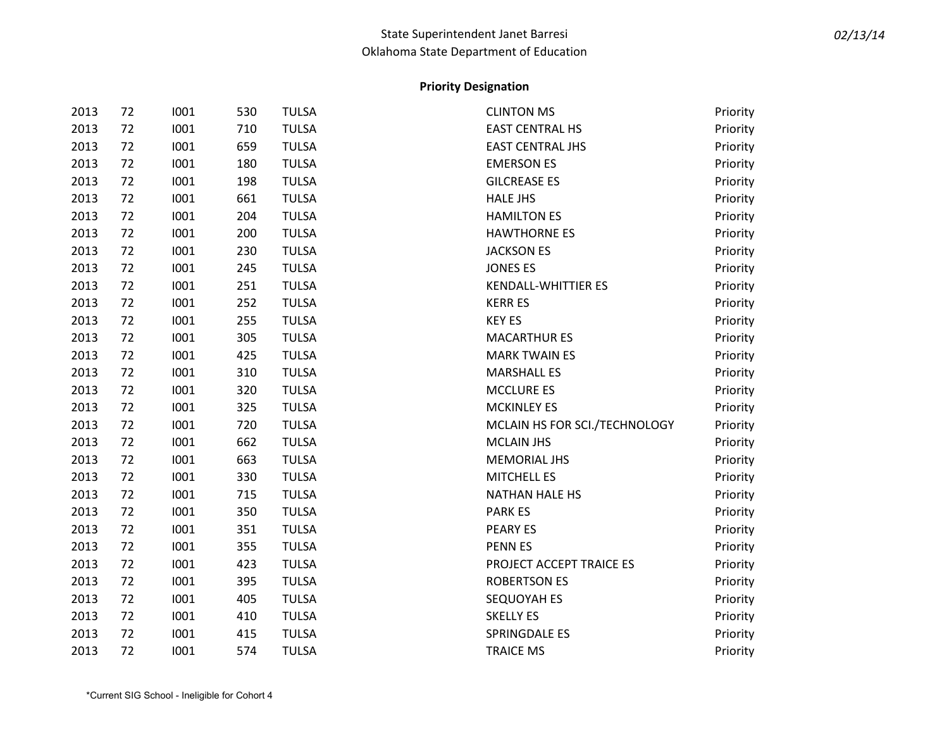| 2013 | 72 | 1001 | 530 | <b>TULSA</b> | <b>CLINTON MS</b>             | Priority |
|------|----|------|-----|--------------|-------------------------------|----------|
| 2013 | 72 | 1001 | 710 | <b>TULSA</b> | <b>EAST CENTRAL HS</b>        | Priority |
| 2013 | 72 | 1001 | 659 | <b>TULSA</b> | <b>EAST CENTRAL JHS</b>       | Priority |
| 2013 | 72 | 1001 | 180 | <b>TULSA</b> | <b>EMERSON ES</b>             | Priority |
| 2013 | 72 | 1001 | 198 | <b>TULSA</b> | <b>GILCREASE ES</b>           | Priority |
| 2013 | 72 | 1001 | 661 | <b>TULSA</b> | <b>HALE JHS</b>               | Priority |
| 2013 | 72 | 1001 | 204 | <b>TULSA</b> | <b>HAMILTON ES</b>            | Priority |
| 2013 | 72 | 1001 | 200 | <b>TULSA</b> | <b>HAWTHORNE ES</b>           | Priority |
| 2013 | 72 | 1001 | 230 | <b>TULSA</b> | <b>JACKSON ES</b>             | Priority |
| 2013 | 72 | 1001 | 245 | <b>TULSA</b> | <b>JONES ES</b>               | Priority |
| 2013 | 72 | 1001 | 251 | <b>TULSA</b> | <b>KENDALL-WHITTIER ES</b>    | Priority |
| 2013 | 72 | 1001 | 252 | <b>TULSA</b> | <b>KERR ES</b>                | Priority |
| 2013 | 72 | 1001 | 255 | <b>TULSA</b> | <b>KEY ES</b>                 | Priority |
| 2013 | 72 | 1001 | 305 | <b>TULSA</b> | <b>MACARTHUR ES</b>           | Priority |
| 2013 | 72 | 1001 | 425 | <b>TULSA</b> | <b>MARK TWAIN ES</b>          | Priority |
| 2013 | 72 | 1001 | 310 | <b>TULSA</b> | <b>MARSHALL ES</b>            | Priority |
| 2013 | 72 | 1001 | 320 | <b>TULSA</b> | <b>MCCLURE ES</b>             | Priority |
| 2013 | 72 | 1001 | 325 | <b>TULSA</b> | <b>MCKINLEY ES</b>            | Priority |
| 2013 | 72 | 1001 | 720 | <b>TULSA</b> | MCLAIN HS FOR SCI./TECHNOLOGY | Priority |
| 2013 | 72 | 1001 | 662 | <b>TULSA</b> | <b>MCLAIN JHS</b>             | Priority |
| 2013 | 72 | 1001 | 663 | <b>TULSA</b> | <b>MEMORIAL JHS</b>           | Priority |
| 2013 | 72 | 1001 | 330 | <b>TULSA</b> | MITCHELL ES                   | Priority |
| 2013 | 72 | 1001 | 715 | <b>TULSA</b> | <b>NATHAN HALE HS</b>         | Priority |
| 2013 | 72 | 1001 | 350 | <b>TULSA</b> | <b>PARK ES</b>                | Priority |
| 2013 | 72 | 1001 | 351 | <b>TULSA</b> | PEARY ES                      | Priority |
| 2013 | 72 | 1001 | 355 | <b>TULSA</b> | <b>PENNES</b>                 | Priority |
| 2013 | 72 | 1001 | 423 | <b>TULSA</b> | PROJECT ACCEPT TRAICE ES      | Priority |
| 2013 | 72 | 1001 | 395 | <b>TULSA</b> | <b>ROBERTSON ES</b>           | Priority |
| 2013 | 72 | 1001 | 405 | <b>TULSA</b> | SEQUOYAH ES                   | Priority |
| 2013 | 72 | 1001 | 410 | <b>TULSA</b> | <b>SKELLY ES</b>              | Priority |
| 2013 | 72 | 1001 | 415 | <b>TULSA</b> | SPRINGDALE ES                 | Priority |
| 2013 | 72 | 1001 | 574 | <b>TULSA</b> | <b>TRAICE MS</b>              | Priority |